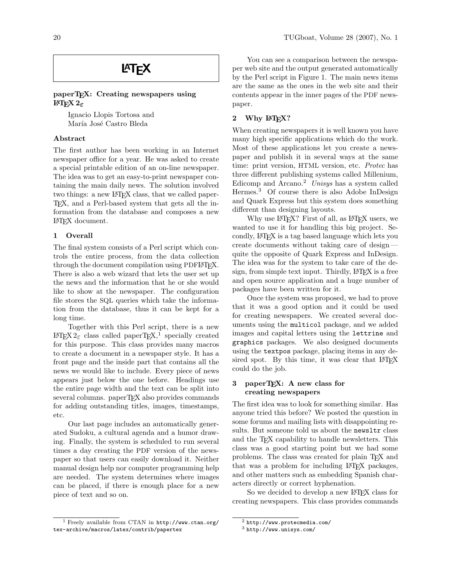# **LAT<sub>F</sub>X**

# paperT<sub>F</sub>X: Creating newspapers using LATEX 2ε

Ignacio Llopis Tortosa and María José Castro Bleda

## Abstract

The first author has been working in an Internet newspaper office for a year. He was asked to create a special printable edition of an on-line newspaper. The idea was to get an easy-to-print newspaper containing the main daily news. The solution involved two things: a new LAT<sub>EX</sub> class, that we called paper-TEX, and a Perl-based system that gets all the information from the database and composes a new LATEX document.

## 1 Overall

The final system consists of a Perl script which controls the entire process, from the data collection through the document compilation using PDFLATEX. There is also a web wizard that lets the user set up the news and the information that he or she would like to show at the newspaper. The configuration file stores the SQL queries which take the information from the database, thus it can be kept for a long time.

Together with this Perl script, there is a new  $L^2E^X 2_{\varepsilon}$  class called paperTEX,<sup>[1](#page-0-0)</sup> specially created for this purpose. This class provides many macros to create a document in a newspaper style. It has a front page and the inside part that contains all the news we would like to include. Every piece of news appears just below the one before. Headings use the entire page width and the text can be split into several columns. paperT<sub>F</sub>X also provides commands for adding outstanding titles, images, timestamps, etc.

Our last page includes an automatically generated Sudoku, a cultural agenda and a humor drawing. Finally, the system is scheduled to run several times a day creating the PDF version of the newspaper so that users can easily download it. Neither manual design help nor computer programming help are needed. The system determines where images can be placed, if there is enough place for a new piece of text and so on.

You can see a comparison between the newspaper web site and the output generated automatically by the Perl script in Figure [1.](#page-1-0) The main news items are the same as the ones in the web site and their contents appear in the inner pages of the PDF newspaper.

# 2 Why LATEX?

When creating newspapers it is well known you have many high specific applications which do the work. Most of these applications let you create a newspaper and publish it in several ways at the same time: print version, HTML version, etc. Protec has three different publishing systems called Millenium, Edicomp and Arcano.<sup>[2](#page-0-1)</sup> Unisys has a system called Hermes.[3](#page-0-2) Of course there is also Adobe InDesign and Quark Express but this system does something different than designing layouts.

Why use L<sup>AT</sup>EX? First of all, as L<sup>AT</sup>EX users, we wanted to use it for handling this big project. Secondly, LATEX is a tag based language which lets you create documents without taking care of design quite the opposite of Quark Express and InDesign. The idea was for the system to take care of the design, from simple text input. Thirdly, LATEX is a free and open source application and a huge number of packages have been written for it.

Once the system was proposed, we had to prove that it was a good option and it could be used for creating newspapers. We created several documents using the multicol package, and we added images and capital letters using the lettrine and graphics packages. We also designed documents using the textpos package, placing items in any desired spot. By this time, it was clear that LAT<sub>EX</sub> could do the job.

## 3 paperTEX: A new class for creating newspapers

The first idea was to look for something similar. Has anyone tried this before? We posted the question in some forums and mailing lists with disappointing results. But someone told us about the newsltr class and the TEX capability to handle newsletters. This class was a good starting point but we had some problems. The class was created for plain TFX and that was a problem for including LATEX packages, and other matters such as embedding Spanish characters directly or correct hyphenation.

So we decided to develop a new LAT<sub>EX</sub> class for creating newspapers. This class provides commands

<span id="page-0-0"></span><sup>&</sup>lt;sup>1</sup> Freely available from CTAN in  $http://www.ctan.org/$ [tex-archive/macros/latex/contrib/papertex](http://www.ctan.org/tex-archive/macros/latex/contrib/papertex)

<span id="page-0-1"></span><sup>2</sup> <http://www.protecmedia.com/>

<span id="page-0-2"></span><sup>3</sup> <http://www.unisys.com/>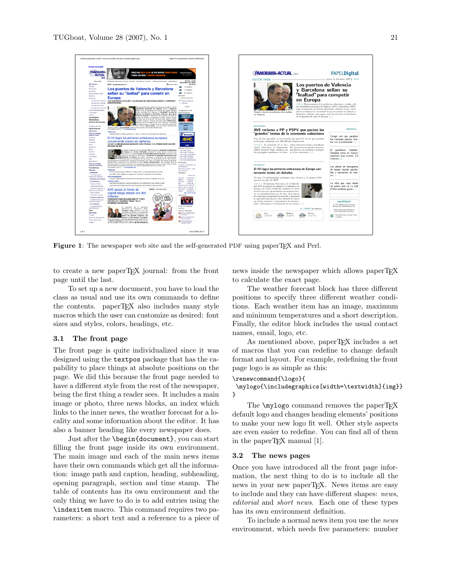

Figure 1: The newspaper web site and the self-generated PDF using paperTFX and Perl.

<span id="page-1-0"></span>to create a new paperTEX journal: from the front page until the last.

To set up a new document, you have to load the class as usual and use its own commands to define the contents. paperTEX also includes many style macros which the user can customize as desired: font sizes and styles, colors, headings, etc.

#### 3.1 The front page

The front page is quite individualized since it was designed using the textpos package that has the capability to place things at absolute positions on the page. We did this because the front page needed to have a different style from the rest of the newspaper, being the first thing a reader sees. It includes a main image or photo, three news blocks, an index which links to the inner news, the weather forecast for a locality and some information about the editor. It has also a banner heading like every newspaper does.

Just after the \begin{document}, you can start filling the front page inside its own environment. The main image and each of the main news items have their own commands which get all the information: image path and caption, heading, subheading, opening paragraph, section and time stamp. The table of contents has its own environment and the only thing we have to do is to add entries using the \indexitem macro. This command requires two parameters: a short text and a reference to a piece of news inside the newspaper which allows paperT<sub>EX</sub> to calculate the exact page.

The weather forecast block has three different positions to specify three different weather conditions. Each weather item has an image, maximum and minimum temperatures and a short description. Finally, the editor block includes the usual contact names, email, logo, etc.

As mentioned above, paperTFX includes a set of macros that you can redefine to change default format and layout. For example, redefining the front page logo is as simple as this:

#### \renewcommand{\logo}{

\mylogo{\includegraphics[width=\textwidth]{img}} }

The **\mylogo** command removes the paperTFX default logo and changes heading elements' positions to make your new logo fit well. Other style aspects are even easier to redefine. You can find all of them in the paperTEX manual [\[1\]](#page-3-0).

### 3.2 The news pages

Once you have introduced all the front page information, the next thing to do is to include all the news in your new paperT<sub>EX</sub>. News items are easy to include and they can have different shapes: news, editorial and short news. Each one of these types has its own environment definition.

To include a normal news item you use the news environment, which needs five parameters: number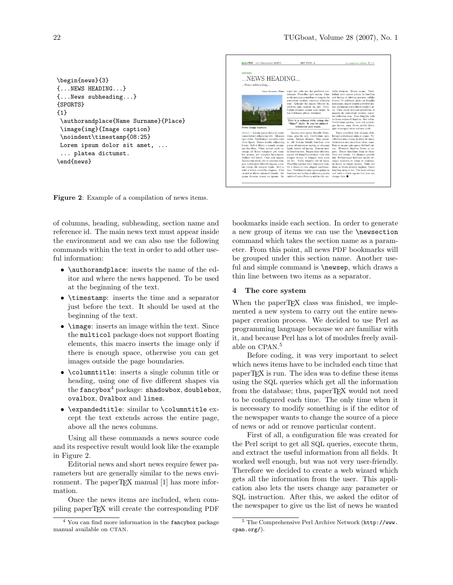```
\begin{news}{3}
{...NEWS HEADING...}
{...News subheading...}
{SPORTS}
{1}
 \authorandplace{Name Surname}{Place}
 \image{img}{Image caption}
 \noindent\timestamp{08:25}
Lorem ipsum dolor sit amet, ...
 ... platea dictumst.
\end{news}
```
<span id="page-2-1"></span>Figure 2: Example of a compilation of news items.

of columns, heading, subheading, section name and reference id. The main news text must appear inside the environment and we can also use the following commands within the text in order to add other useful information:

- \authorandplace: inserts the name of the editor and where the news happened. To be used at the beginning of the text.
- \timestamp: inserts the time and a separator just before the text. It should be used at the beginning of the text.
- **\image:** inserts an image within the text. Since the multicol package does not support floating elements, this macro inserts the image only if there is enough space, otherwise you can get images outside the page boundaries.
- \columntitle: inserts a single column title or heading, using one of five different shapes via the fancybox $4$  package: shadowbox, doublebox, ovalbox, Ovalbox and lines.
- \expandedtitle: similar to \columntitle except the text extends across the entire page, above all the news columns.

Using all these commands a news source code and its respective result would look like the example in Figure [2.](#page-2-1)

Editorial news and short news require fewer parameters but are generally similar to the news envi-ronment. The paperT<sub>E</sub>X manual [\[1\]](#page-3-0) has more information.

Once the news items are included, when compiling paperTEX will create the corresponding PDF



bookmarks inside each section. In order to generate a new group of items we can use the \newsection command which takes the section name as a parameter. From this point, all news PDF bookmarks will be grouped under this section name. Another useful and simple command is \newsep, which draws a thin line between two items as a separator.

# 4 The core system

When the paperT<sub>E</sub>X class was finished, we implemented a new system to carry out the entire newspaper creation process. We decided to use Perl as programming language because we are familiar with it, and because Perl has a lot of modules freely available on CPAN. [5](#page-2-2)

Before coding, it was very important to select which news items have to be included each time that paperTEX is run. The idea was to define these items using the SQL queries which get all the information from the database; thus, paperTFX would not need to be configured each time. The only time when it is necessary to modify something is if the editor of the newspaper wants to change the source of a piece of news or add or remove particular content.

First of all, a configuration file was created for the Perl script to get all SQL queries, execute them, and extract the useful information from all fields. It worked well enough, but was not very user-friendly. Therefore we decided to create a web wizard which gets all the information from the user. This application also lets the users change any parameter or SQL instruction. After this, we asked the editor of the newspaper to give us the list of news he wanted

<span id="page-2-0"></span> $4$  You can find more information in the fancybox package manual available on CTAN.

<span id="page-2-2"></span><sup>5</sup> The Comprehensive Perl Archive Network ([http://www.](http://www.cpan.org/) [cpan.org/](http://www.cpan.org/)).